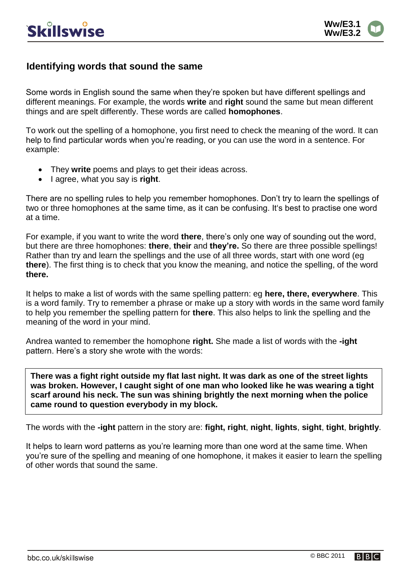

#### **Identifying words that sound the same**

Some words in English sound the same when they're spoken but have different spellings and different meanings. For example, the words **write** and **right** sound the same but mean different things and are spelt differently. These words are called **homophones**.

To work out the spelling of a homophone, you first need to check the meaning of the word. It can help to find particular words when you're reading, or you can use the word in a sentence. For example:

- They **write** poems and plays to get their ideas across.
- $\bullet$  | agree, what you say is **right**.

There are no spelling rules to help you remember homophones. Don't try to learn the spellings of two or three homophones at the same time, as it can be confusing. It's best to practise one word at a time.

For example, if you want to write the word **there**, there's only one way of sounding out the word, but there are three homophones: **there**, **their** and **they're.** So there are three possible spellings! Rather than try and learn the spellings and the use of all three words, start with one word (eg **there**). The first thing is to check that you know the meaning, and notice the spelling, of the word **there.**

It helps to make a list of words with the same spelling pattern: eg **here, there, everywhere**. This is a word family. Try to remember a phrase or make up a story with words in the same word family to help you remember the spelling pattern for **there**. This also helps to link the spelling and the meaning of the word in your mind.

Andrea wanted to remember the homophone **right.** She made a list of words with the **-ight** pattern. Here's a story she wrote with the words:

**There was a fight right outside my flat last night. It was dark as one of the street lights was broken. However, I caught sight of one man who looked like he was wearing a tight scarf around his neck. The sun was shining brightly the next morning when the police came round to question everybody in my block.**

The words with the **-ight** pattern in the story are: **fight, right**, **night**, **lights**, **sight**, **tight**, **brightly**.

It helps to learn word patterns as you're learning more than one word at the same time. When you're sure of the spelling and meaning of one homophone, it makes it easier to learn the spelling of other words that sound the same.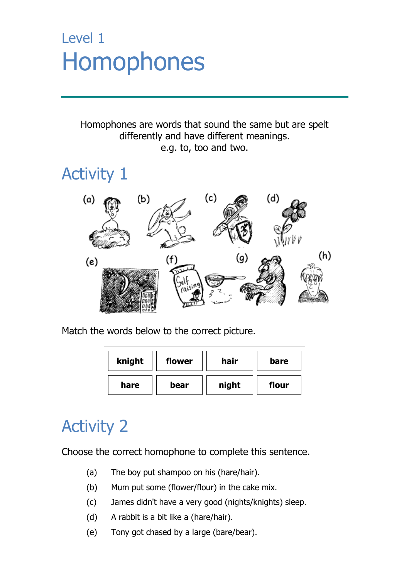## Level 1 Homophones

Homophones are words that sound the same but are spelt differently and have different meanings. e.g. to, too and two.

## Activity 1



Match the words below to the correct picture.

| knight | flower | hair  | bare  |
|--------|--------|-------|-------|
| hare   | bear   | night | flour |

## Activity 2

Choose the correct homophone to complete this sentence.

- (a) The boy put shampoo on his (hare/hair).
- (b) Mum put some (flower/flour) in the cake mix.
- (c) James didn't have a very good (nights/knights) sleep.
- (d) A rabbit is a bit like a (hare/hair).
- (e) Tony got chased by a large (bare/bear).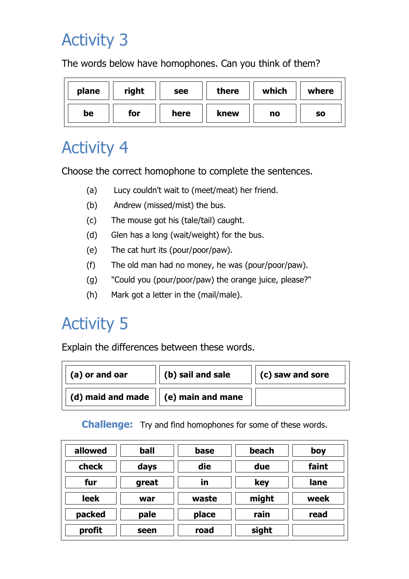## Activity 3

The words below have homophones. Can you think of them?

| plane | right | see  | there | which | where     |
|-------|-------|------|-------|-------|-----------|
| be    | for   | here | knew  | no    | <b>SO</b> |

### Activity 4

Choose the correct homophone to complete the sentences.

- (a) Lucy couldn't wait to (meet/meat) her friend.
- (b) Andrew (missed/mist) the bus.
- (c) The mouse got his (tale/tail) caught.
- (d) Glen has a long (wait/weight) for the bus.
- (e) The cat hurt its (pour/poor/paw).
- (f) The old man had no money, he was (pour/poor/paw).
- (g) "Could you (pour/poor/paw) the orange juice, please?"
- (h) Mark got a letter in the (mail/male).

## Activity 5

Explain the differences between these words.

| (a) or and oar    | (b) sail and sale | (c) saw and sore |
|-------------------|-------------------|------------------|
| (d) maid and made | (e) main and mane |                  |

**Challenge:** Try and find homophones for some of these words.

| allowed     | ball  | base  | beach | boy   |
|-------------|-------|-------|-------|-------|
| check       | days  | die   | due   | faint |
| fur         | great | īn    | key   | lane  |
| <b>leek</b> | war   | waste | might | week  |
| packed      | pale  | place | rain  | read  |
| profit      | seen  | road  | sight |       |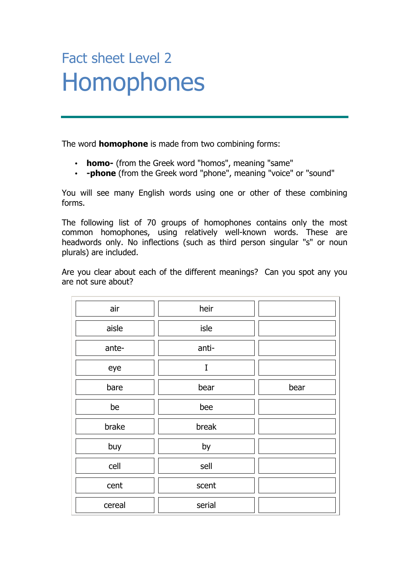## Fact sheet Level 2 Homophones

The word **homophone** is made from two combining forms:

- **homo-** (from the Greek word "homos", meaning "same"
- **-phone** (from the Greek word "phone", meaning "voice" or "sound"

You will see many English words using one or other of these combining forms.

The following list of 70 groups of homophones contains only the most common homophones, using relatively well-known words. These are headwords only. No inflections (such as third person singular "s" or noun plurals) are included.

Are you clear about each of the different meanings? Can you spot any you are not sure about?

| air    | heir   |      |
|--------|--------|------|
| aisle  | isle   |      |
| ante-  | anti-  |      |
| eye    | I      |      |
| bare   | bear   | bear |
| be     | bee    |      |
| brake  | break  |      |
| buy    | by     |      |
| cell   | sell   |      |
| cent   | scent  |      |
| cereal | serial |      |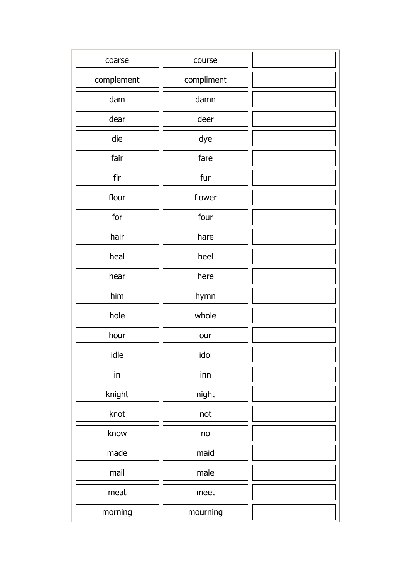| coarse     | course     |  |
|------------|------------|--|
| complement | compliment |  |
| dam        | damn       |  |
| dear       | deer       |  |
| die        | dye        |  |
| fair       | fare       |  |
| fir        | fur        |  |
| flour      | flower     |  |
| for        | four       |  |
| hair       | hare       |  |
| heal       | heel       |  |
| hear       | here       |  |
| him        | hymn       |  |
| hole       | whole      |  |
| hour       | our        |  |
| idle       | idol       |  |
| in         | inn        |  |
| knight     | night      |  |
| knot       | not        |  |
| know       | no         |  |
| made       | maid       |  |
| mail       | male       |  |
| meat       | meet       |  |
| morning    | mourning   |  |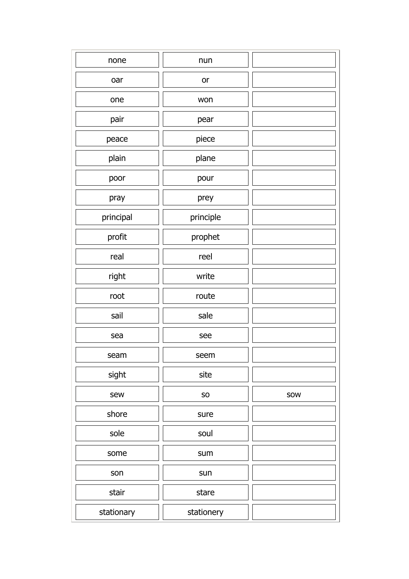| none       | nun        |     |
|------------|------------|-----|
| oar        | or         |     |
| one        | won        |     |
| pair       | pear       |     |
| peace      | piece      |     |
| plain      | plane      |     |
| poor       | pour       |     |
| pray       | prey       |     |
| principal  | principle  |     |
| profit     | prophet    |     |
| real       | reel       |     |
| right      | write      |     |
| root       | route      |     |
| sail       | sale       |     |
| sea        | see        |     |
| seam       | seem       |     |
| sight      | site       |     |
| sew        | ${\sf SO}$ | SOW |
| shore      | sure       |     |
| sole       | soul       |     |
| some       | sum        |     |
| son        | sun        |     |
| stair      | stare      |     |
| stationary | stationery |     |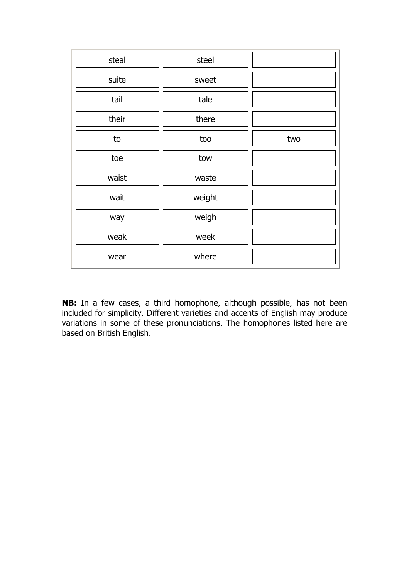| steal | steel  |     |
|-------|--------|-----|
| suite | sweet  |     |
| tail  | tale   |     |
| their | there  |     |
| to    | too    | two |
| toe   | tow    |     |
| waist | waste  |     |
| wait  | weight |     |
| way   | weigh  |     |
| weak  | week   |     |
| wear  | where  |     |

**NB:** In a few cases, a third homophone, although possible, has not been included for simplicity. Different varieties and accents of English may produce variations in some of these pronunciations. The homophones listed here are based on British English.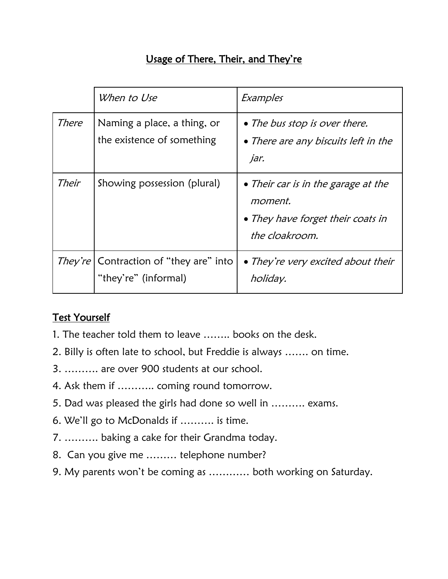#### Usage of There, Their, and They're

|       | When to Use                                                               | Examples                                                                                                     |
|-------|---------------------------------------------------------------------------|--------------------------------------------------------------------------------------------------------------|
| There | Naming a place, a thing, or<br>the existence of something                 | • The bus stop is over there.<br>• There are any biscuits left in the<br>jar.                                |
| Their | Showing possession (plural)                                               | • Their car is in the garage at the<br><i>moment.</i><br>• They have forget their coats in<br>the cloakroom. |
|       | <i>They're</i>   Contraction of "they are" into  <br>"they're" (informal) | • They're very excited about their<br>holiday.                                                               |

#### Test Yourself

- 1. The teacher told them to leave …….. books on the desk.
- 2. Billy is often late to school, but Freddie is always ……. on time.
- 3. ………. are over 900 students at our school.
- 4. Ask them if ……….. coming round tomorrow.
- 5. Dad was pleased the girls had done so well in ………. exams.
- 6. We'll go to McDonalds if ………. is time.
- 7. ………. baking a cake for their Grandma today.
- 8. Can you give me ……… telephone number?
- 9. My parents won't be coming as ………… both working on Saturday.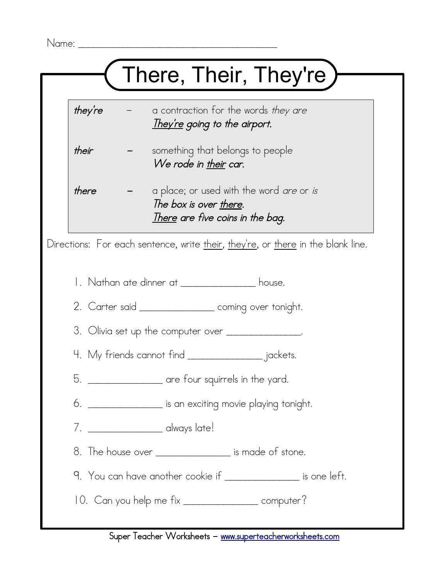# There, Their, They're)

- they're  $-$  a contraction for the words they are They're going to the airport.
- their **-** something that belongs to people We rode in their car.
- $there$  a place; or used with the word are or is The box is over there. There are five coins in the bag.

Directions: For each sentence, write their, they're, or there in the blank line.

- 1. Nathan ate dinner at \_\_\_\_\_\_\_\_\_\_\_\_\_\_\_\_ house.
- 2. Carter said \_\_\_\_\_\_\_\_\_\_\_\_\_\_\_\_ coming over tonight.
- 3. Olivia set up the computer over \_\_\_\_\_\_\_\_\_\_\_\_\_\_\_\_.
- 4. My friends cannot find \_\_\_\_\_\_\_\_\_\_\_\_\_\_\_ jackets.
- 5. \_\_\_\_\_\_\_\_\_\_\_\_\_\_\_ are four squirrels in the yard.
- 6. \_\_\_\_\_\_\_\_\_\_\_\_\_\_\_ is an exciting movie playing tonight.
- 7. \_\_\_\_\_\_\_\_\_\_\_\_\_\_\_ always late!
- 8. The house over \_\_\_\_\_\_\_\_\_\_\_\_\_\_\_\_\_ is made of stone.
- 9. You can have another cookie if **with the set of the set of the set of the set of the set of the set of the set of the set of the set of the set of the set of the set of the set of the set of the set of the set of the se**
- 10. Can you help me fix \_\_\_\_\_\_\_\_\_\_\_\_\_\_\_\_\_ computer?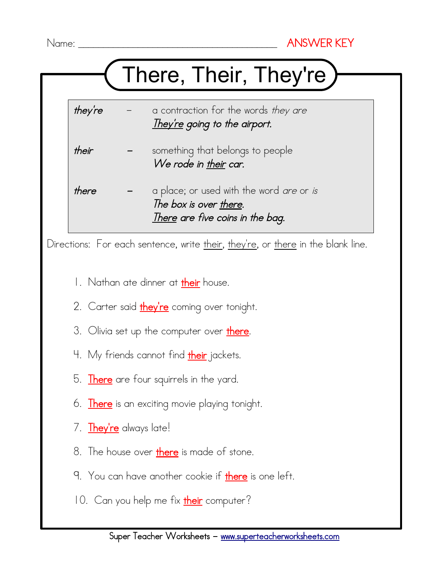## There, Their, They're

- they're  $-$  a contraction for the words they are They're going to the airport.
- their **-** something that belongs to people We rode in their car.
- there  $-$  a place; or used with the word *are* or *is* The box is over there. There are five coins in the bag.

Directions: For each sentence, write their, they're, or there in the blank line.

- 1. Nathan ate dinner at their house.
- 2. Carter said *they're* coming over tonight.
- 3. Olivia set up the computer over there.
- 4. My friends cannot find their jackets.
- 5. There are four squirrels in the yard.
- 6. There is an exciting movie playing tonight.
- 7. They're always late!
- 8. The house over there is made of stone.
- 9. You can have another cookie if there is one left.
- 10. Can you help me fix *their* computer?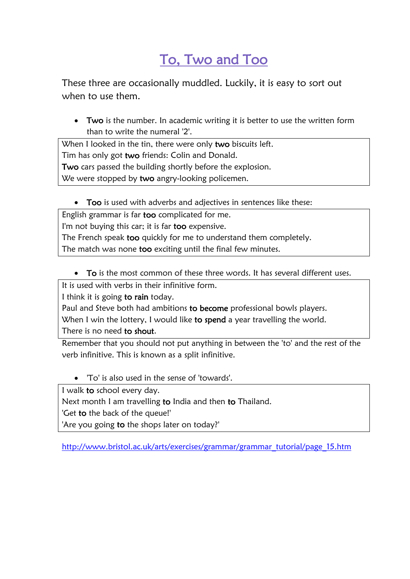### To, Two and Too

These three are occasionally muddled. Luckily, it is easy to sort out when to use them.

• Two is the number. In academic writing it is better to use the written form than to write the numeral '2'.

When I looked in the tin, there were only two biscuits left. Tim has only got two friends: Colin and Donald. Two cars passed the building shortly before the explosion. We were stopped by two angry-looking policemen.

• Too is used with adverbs and adjectives in sentences like these:

English grammar is far too complicated for me. I'm not buying this car; it is far too expensive. The French speak too quickly for me to understand them completely. The match was none too exciting until the final few minutes.

To is the most common of these three words. It has several different uses.

It is used with verbs in their infinitive form.

I think it is going to rain today.

Paul and Steve both had ambitions to become professional bowls players.

When I win the lottery, I would like to spend a year travelling the world.

There is no need to shout.

Remember that you should not put anything in between the 'to' and the rest of the verb infinitive. This is known as a split infinitive.

'To' is also used in the sense of 'towards'.

I walk to school every day.

Next month I am travelling to India and then to Thailand.

'Get to the back of the queue!'

'Are you going to the shops later on today?'

[http://www.bristol.ac.uk/arts/exercises/grammar/grammar\\_tutorial/page\\_15.htm](http://www.bristol.ac.uk/arts/exercises/grammar/grammar_tutorial/page_15.htm)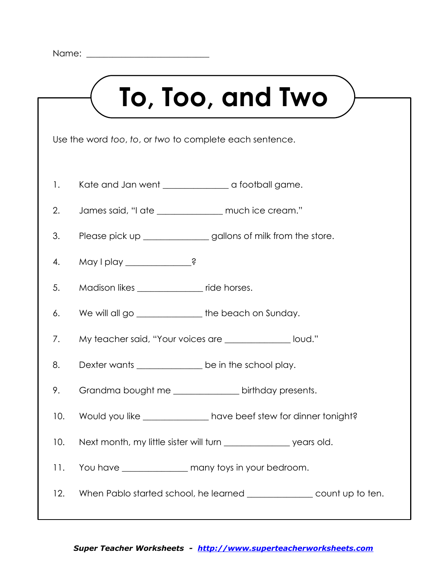

Use the word *too*, *to*, or *two* to complete each sentence.

- 1. Kate and Jan went \_\_\_\_\_\_\_\_\_\_\_\_\_\_\_\_ a football game.
- 2. James said, "I ate \_\_\_\_\_\_\_\_\_\_\_\_\_\_\_ much ice cream."
- 3. Please pick up \_\_\_\_\_\_\_\_\_\_\_\_\_\_ gallons of milk from the store.
- 4. May I play \_\_\_\_\_\_\_\_\_\_\_\_\_\_?
- 5. Madison likes \_\_\_\_\_\_\_\_\_\_\_\_\_\_ ride horses.
- 6. We will all go \_\_\_\_\_\_\_\_\_\_\_\_\_\_\_\_ the beach on Sunday.
- 7. My teacher said, "Your voices are \_\_\_\_\_\_\_\_\_\_\_\_\_\_\_ loud."
- 8. Dexter wants \_\_\_\_\_\_\_\_\_\_\_\_\_\_\_ be in the school play.
- 9. Grandma bought me birthday presents.
- 10. Would you like \_\_\_\_\_\_\_\_\_\_\_\_\_\_ have beef stew for dinner tonight?
- 10. Next month, my little sister will turn \_\_\_\_\_\_\_\_\_\_\_\_\_\_\_\_ years old.
- 11. You have \_\_\_\_\_\_\_\_\_\_\_\_\_\_\_ many toys in your bedroom.
- 12. When Pablo started school, he learned \_\_\_\_\_\_\_\_\_\_\_\_\_\_\_\_ count up to ten.

#### *Super Teacher Worksheets - [http://www.superteacherworksheets.com](http://www.superteacherworksheets.com/)*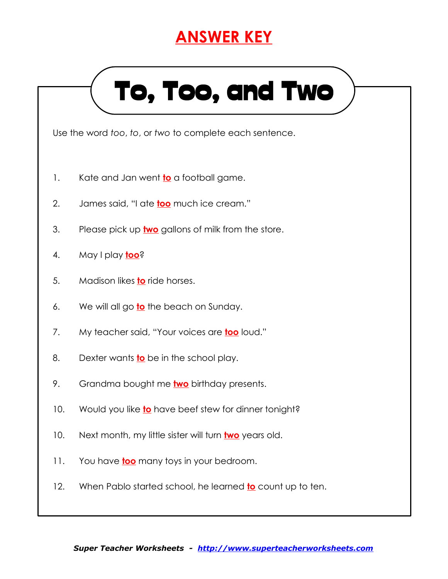### **ANSWER KEY**

# To, Too, and Two

Use the word *too*, *to*, or *two* to complete each sentence.

- 1. Kate and Jan went **to** a football game.
- 2. James said, "I ate **too** much ice cream."
- 3. Please pick up **two** gallons of milk from the store.
- 4. May I play **too**?
- 5. Madison likes **to** ride horses.
- 6. We will all go **to** the beach on Sunday.
- 7. My teacher said, "Your voices are **too** loud."
- 8. Dexter wants **to** be in the school play.
- 9. Grandma bought me **two** birthday presents.
- 10. Would you like **to** have beef stew for dinner tonight?
- 10. Next month, my little sister will turn **two** years old.
- 11. You have **too** many toys in your bedroom.
- 12. When Pablo started school, he learned **to** count up to ten.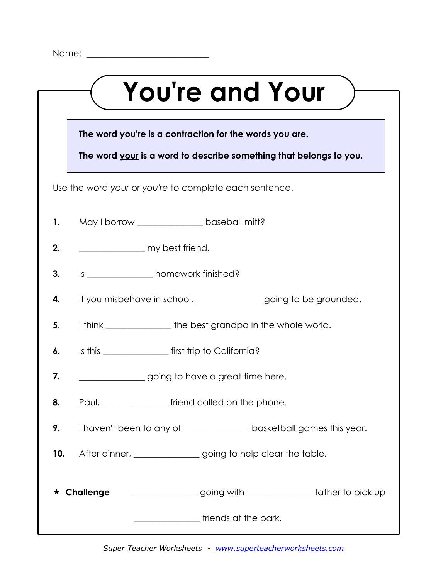|     | <b>You're and Your</b>                                               |  |  |  |  |
|-----|----------------------------------------------------------------------|--|--|--|--|
|     |                                                                      |  |  |  |  |
|     | The word you're is a contraction for the words you are.              |  |  |  |  |
|     | The word your is a word to describe something that belongs to you.   |  |  |  |  |
|     | Use the word your or you're to complete each sentence.               |  |  |  |  |
| 1.  | May I borrow _____________________ baseball mitt?                    |  |  |  |  |
| 2.  | my best friend.                                                      |  |  |  |  |
| 3.  | Is ________________ homework finished?                               |  |  |  |  |
| 4.  | If you misbehave in school, ______________ going to be grounded.     |  |  |  |  |
| 5.  | I think _________________ the best grandpa in the whole world.       |  |  |  |  |
| 6.  | Is this ___________________ first trip to California?                |  |  |  |  |
| 7.  | going to have a great time here.                                     |  |  |  |  |
| 8.  | Paul, __________________ friend called on the phone.                 |  |  |  |  |
| 9.  | I haven't been to any of _______________ basketball games this year. |  |  |  |  |
| 10. | After dinner, ________________going to help clear the table.         |  |  |  |  |
| ★.  | going with _____________ father to pick up<br>Challenge              |  |  |  |  |
|     | <u>________________</u> friends at the park.                         |  |  |  |  |

*Super Teacher Worksheets - [www.superteacherworksheets.com](http://www.superteacherworksheets.com/)*